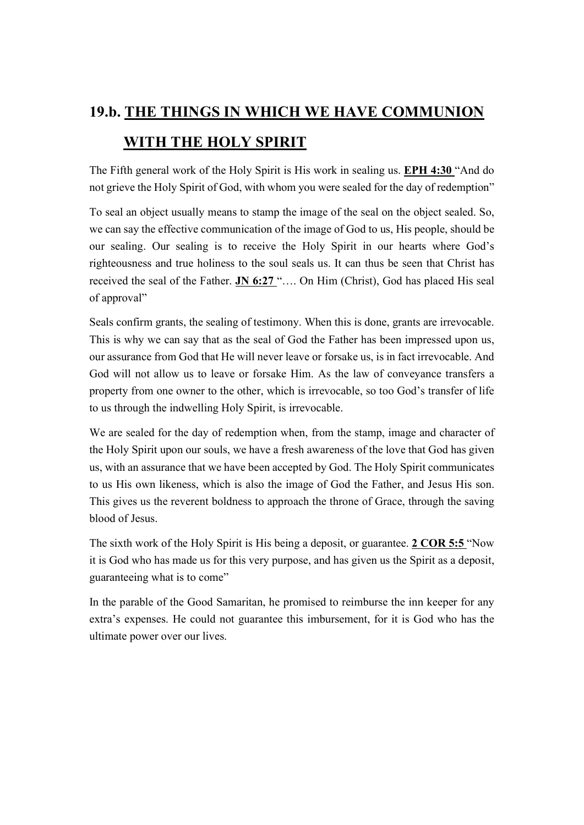## 19.b. THE THINGS IN WHICH WE HAVE COMMUNION WITH THE HOLY SPIRIT

The Fifth general work of the Holy Spirit is His work in sealing us. EPH 4:30 "And do not grieve the Holy Spirit of God, with whom you were sealed for the day of redemption"

To seal an object usually means to stamp the image of the seal on the object sealed. So, we can say the effective communication of the image of God to us, His people, should be our sealing. Our sealing is to receive the Holy Spirit in our hearts where God's righteousness and true holiness to the soul seals us. It can thus be seen that Christ has received the seal of the Father. JN 6:27 ".... On Him (Christ), God has placed His seal of approval"

Seals confirm grants, the sealing of testimony. When this is done, grants are irrevocable. This is why we can say that as the seal of God the Father has been impressed upon us, our assurance from God that He will never leave or forsake us, is in fact irrevocable. And God will not allow us to leave or forsake Him. As the law of conveyance transfers a property from one owner to the other, which is irrevocable, so too God's transfer of life to us through the indwelling Holy Spirit, is irrevocable.

We are sealed for the day of redemption when, from the stamp, image and character of the Holy Spirit upon our souls, we have a fresh awareness of the love that God has given us, with an assurance that we have been accepted by God. The Holy Spirit communicates to us His own likeness, which is also the image of God the Father, and Jesus His son. This gives us the reverent boldness to approach the throne of Grace, through the saving blood of Jesus.

The sixth work of the Holy Spirit is His being a deposit, or guarantee. 2 COR 5:5 "Now it is God who has made us for this very purpose, and has given us the Spirit as a deposit, guaranteeing what is to come"

In the parable of the Good Samaritan, he promised to reimburse the inn keeper for any extra's expenses. He could not guarantee this imbursement, for it is God who has the ultimate power over our lives.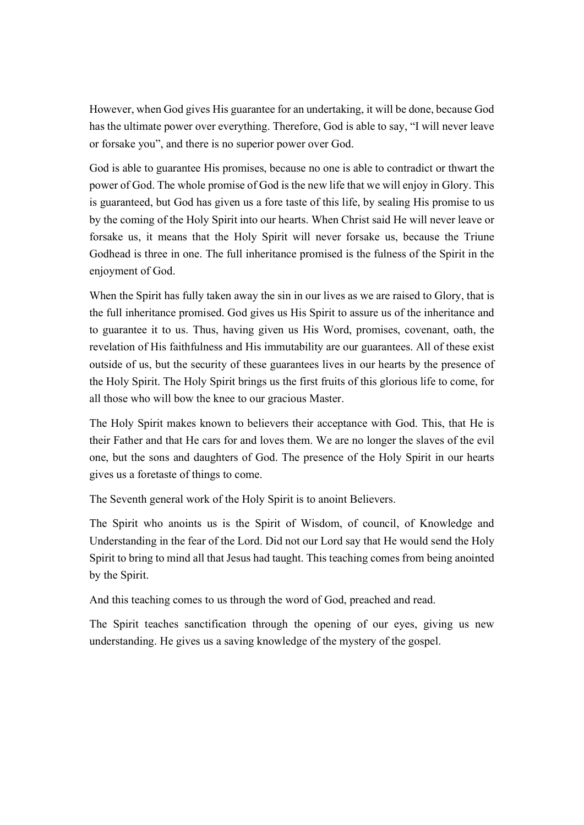However, when God gives His guarantee for an undertaking, it will be done, because God has the ultimate power over everything. Therefore, God is able to say, "I will never leave or forsake you", and there is no superior power over God.

God is able to guarantee His promises, because no one is able to contradict or thwart the power of God. The whole promise of God is the new life that we will enjoy in Glory. This is guaranteed, but God has given us a fore taste of this life, by sealing His promise to us by the coming of the Holy Spirit into our hearts. When Christ said He will never leave or forsake us, it means that the Holy Spirit will never forsake us, because the Triune Godhead is three in one. The full inheritance promised is the fulness of the Spirit in the enjoyment of God.

When the Spirit has fully taken away the sin in our lives as we are raised to Glory, that is the full inheritance promised. God gives us His Spirit to assure us of the inheritance and to guarantee it to us. Thus, having given us His Word, promises, covenant, oath, the revelation of His faithfulness and His immutability are our guarantees. All of these exist outside of us, but the security of these guarantees lives in our hearts by the presence of the Holy Spirit. The Holy Spirit brings us the first fruits of this glorious life to come, for all those who will bow the knee to our gracious Master.

The Holy Spirit makes known to believers their acceptance with God. This, that He is their Father and that He cars for and loves them. We are no longer the slaves of the evil one, but the sons and daughters of God. The presence of the Holy Spirit in our hearts gives us a foretaste of things to come.

The Seventh general work of the Holy Spirit is to anoint Believers.

The Spirit who anoints us is the Spirit of Wisdom, of council, of Knowledge and Understanding in the fear of the Lord. Did not our Lord say that He would send the Holy Spirit to bring to mind all that Jesus had taught. This teaching comes from being anointed by the Spirit.

And this teaching comes to us through the word of God, preached and read.

The Spirit teaches sanctification through the opening of our eyes, giving us new understanding. He gives us a saving knowledge of the mystery of the gospel.